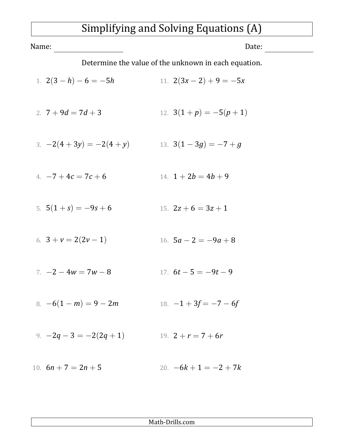## Simplifying and Solving Equations (A)

| Name:                                                | Date:                  |
|------------------------------------------------------|------------------------|
| Determine the value of the unknown in each equation. |                        |
| 1. $2(3-h)-6=-5h$                                    | 11. $2(3x-2)+9=-5x$    |
| 2. $7+9d = 7d+3$                                     | 12. $3(1+p) = -5(p+1)$ |
| 3. $-2(4+3y) = -2(4+y)$                              | 13. $3(1-3g) = -7+g$   |
| 4. $-7+4c=7c+6$                                      | 14. $1+2b=4b+9$        |
| 5. $5(1 + s) = -9s + 6$                              | 15. $2z + 6 = 3z + 1$  |
| 6. $3 + v = 2(2v - 1)$                               | 16. $5a - 2 = -9a + 8$ |
| $7. -2 - 4w = 7w - 8$                                | 17. $6t - 5 = -9t - 9$ |
| 8. $-6(1-m) = 9 - 2m$                                | 18. $-1+3f = -7-6f$    |
| 9. $-2q-3=-2(2q+1)$                                  | 19. $2 + r = 7 + 6r$   |
| 10. $6n + 7 = 2n + 5$                                | 20. $-6k+1=-2+7k$      |